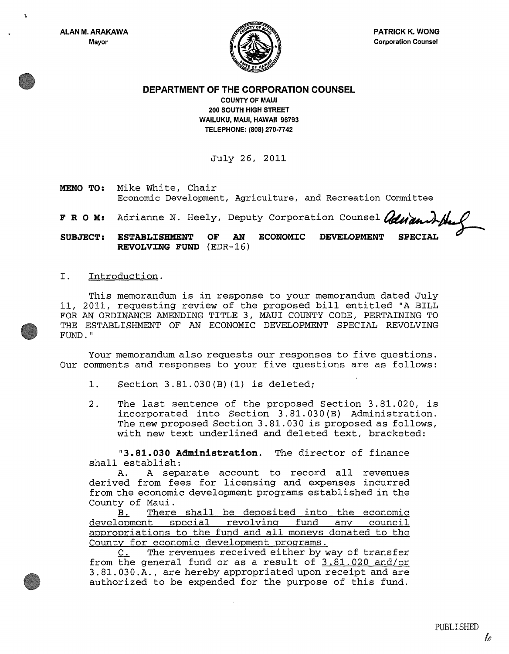ALAN M. ARAKAWA Mayor

Ä.



DEPARTMENT OF THE CORPORATION COUNSEL

COUNTY OF MAUl 200 SOUTH HIGH STREET WAILUKU, MAUl, HAWAII 96793 TELEPHONE: (808) 270·7742

July 26, 2011

MEMO TO: Mike White, Chair Economic Development, Agriculture, and Recreation Committee

F R O M: Adrianne N. Heely, Deputy Corporation Counsel  $\mathscr{A}_{\mathscr{A}}$ 

SUBJECT: ESTABLISHMENT OF AN ECONOMIC DEVELOPMENT SPECIAL REVOLVING FUND (EDR-16)

## I. Introduction.

This memorandum is in response to your memorandum dated July 11, 2011, requesting review of the proposed bill entitled "A BILL FOR AN ORDINANCE AMENDING TITLE 3, MAUl COUNTY CODE, PERTAINING TO THE ESTABLISHMENT OF AN ECONOMIC DEVELOPMENT SPECIAL REVOLVING FUND."

Your memorandum also requests our responses to five questions. Our comments and responses to your five questions are as follows:

- 1. Section 3.81.030(B) (1) is deleted;
- 2. The last sentence of the proposed Section 3.81.020, is incorporated into Section 3.81.030 (B) Administration. The new proposed Section 3.81.030 is proposed as follows, with new text underlined and deleted text, bracketed:

"3.81.030 Administration. The director of finance shall establish:

A. A separate account to record all revenues derived from fees for licensing and expenses incurred from the economic development programs established in the County of Maui .

B. There shall be deposited into the economic<br>opment special revolving fund any council development special revolving fund any council appropriations to the fund and all moneys donated to the County for economic development programs.

 $C.$  The revenues received either by way of transfer from the general fund or as a result of 3.81.020 and/or 3.81.030 .A., are hereby appropriated upon receipt and are authorized to be expended for the purpose of this fund.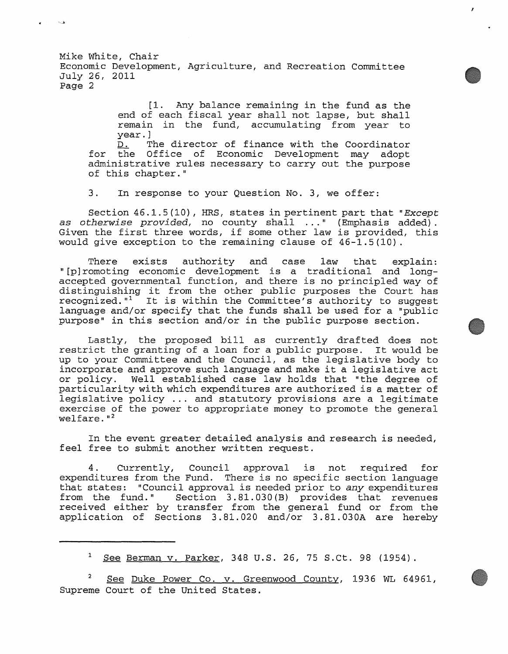Mike White, Chair Economic Development, Agriculture, and Recreation Committee July 26, 2011 Page 2

> [1. Any balance remaining in the fund as the end of each fiscal year shall not lapse, but shall remain in the fund, accumulating from year to year. ]

 $\mathbf{r}$ 

poart;<br><u>D.</u> The director of finance with the Coordinator for the Office of Economic Development may adopt administrative rules necessary to carry out the purpose of this chapter."

3. In response to your Question No.3, we offer:

Section 46.1. 5 (10), HRS, states in pertinent part that *"Except*  as otherwise provided, no county shall ..." (Emphasis added). Given the first three words, if some other law is provided, this would give exception to the remaining clause of 46-1.5(10).

There exists authority and case law that explain: "[p]romoting economic development is a traditional and longaccepted governmental function, and there is no principled way of distinguishing it from the other public purposes the Court has recognized."<sup>1</sup> It is within the Committee's authority to suggest language and/or specify that the funds shall be used for a "public purpose" in this section and/or in the public purpose section.

Lastly, the proposed bill as currently drafted does not restrict the granting of a loan for a public purpose. It would be up to your Committee and the Council, as the legislative body to incorporate and approve such language and make it a legislative act<br>or policy. Well established case law holds that "the degree of Well established case law holds that "the degree of particularity with which expenditures are authorized is a matter of legislative policy ... and statutory provisions are a legitimate exercise of the power to appropriate money to promote the general  $welfare.$ "<sup>2</sup>

In the event greater detailed analysis and research is needed, feel free to submit another written request.

4. Currently, Council approval is not required for expenditures from the Fund. There is no specific section language that states: "Council approval is needed prior to any expenditures<br>from the fund." Section 3.81.030(B) provides that revenues  $Section 3.81.030 (B)$  provides that revenues received either by transfer from the general fund or from the application of Sections 3.81.020 and/or 3.81.030A are hereby

See Berman v. Parker, 348 U.S. 26, 75 S.Ct. 98 (1954).

See Duke Power Co. v. Greenwood County, 1936 WL 64961, Supreme Court of the United States.